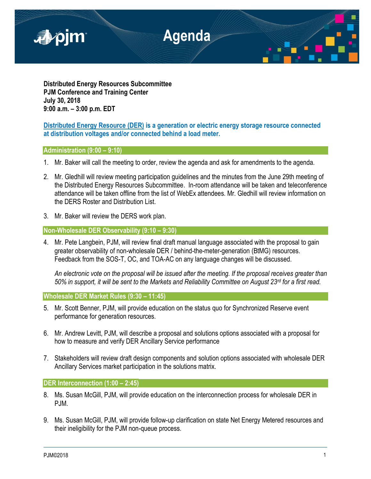

**Distributed Energy Resources Subcommittee PJM Conference and Training Center July 30, 2018 9:00 a.m. – 3:00 p.m. EDT**

**Distributed Energy Resource (DER) is a generation or electric energy storage resource connected at distribution voltages and/or connected behind a load meter.**

# **Administration (9:00 – 9:10)**

- 1. Mr. Baker will call the meeting to order, review the agenda and ask for amendments to the agenda.
- 2. Mr. Gledhill will review meeting participation guidelines and the minutes from the June 29th meeting of the Distributed Energy Resources Subcommittee. In-room attendance will be taken and teleconference attendance will be taken offline from the list of WebEx attendees. Mr. Gledhill will review information on the DERS Roster and Distribution List.
- 3. Mr. Baker will review the DERS work plan.

**Non-Wholesale DER Observability (9:10 – 9:30)**

4. Mr. Pete Langbein, PJM, will review final draft manual language associated with the proposal to gain greater observability of non-wholesale DER / behind-the-meter-generation (BtMG) resources. Feedback from the SOS-T, OC, and TOA-AC on any language changes will be discussed.

*An electronic vote on the proposal will be issued after the meeting. If the proposal receives greater than 50% in support, it will be sent to the Markets and Reliability Committee on August 23rd for a first read.*

**Wholesale DER Market Rules (9:30 – 11:45)**

- 5. Mr. Scott Benner, PJM, will provide education on the status quo for Synchronized Reserve event performance for generation resources.
- 6. Mr. Andrew Levitt, PJM, will describe a proposal and solutions options associated with a proposal for how to measure and verify DER Ancillary Service performance
- 7. Stakeholders will review draft design components and solution options associated with wholesale DER Ancillary Services market participation in the solutions matrix.

**DER Interconnection (1:00 – 2:45)** 

- 8. Ms. Susan McGill, PJM, will provide education on the interconnection process for wholesale DER in PJM.
- 9. Ms. Susan McGill, PJM, will provide follow-up clarification on state Net Energy Metered resources and their ineligibility for the PJM non-queue process.